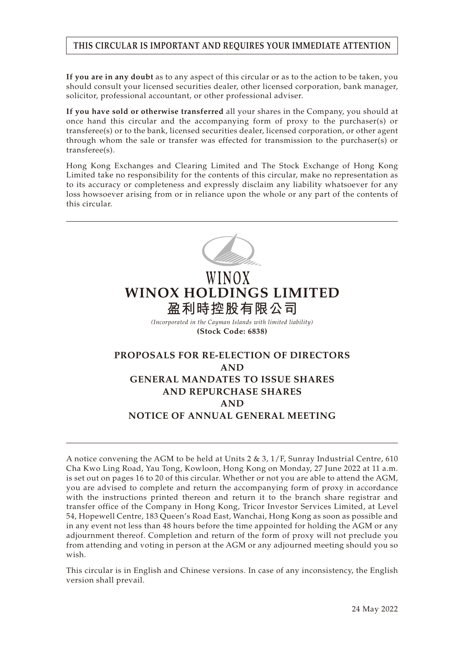## **THIS CIRCULAR IS IMPORTANT AND REQUIRES YOUR IMMEDIATE ATTENTION**

**If you are in any doubt** as to any aspect of this circular or as to the action to be taken, you should consult your licensed securities dealer, other licensed corporation, bank manager, solicitor, professional accountant, or other professional adviser.

**If you have sold or otherwise transferred** all your shares in the Company, you should at once hand this circular and the accompanying form of proxy to the purchaser(s) or transferee(s) or to the bank, licensed securities dealer, licensed corporation, or other agent through whom the sale or transfer was effected for transmission to the purchaser(s) or transferee(s).

Hong Kong Exchanges and Clearing Limited and The Stock Exchange of Hong Kong Limited take no responsibility for the contents of this circular, make no representation as to its accuracy or completeness and expressly disclaim any liability whatsoever for any loss howsoever arising from or in reliance upon the whole or any part of the contents of this circular.



# WINOX **WINOX HOLDINGS LIMITED 盈利時控股有限公司**

*(Incorporated in the Cayman Islands with limited liability)* **(Stock Code: 6838)**

## **PROPOSALS FOR RE-ELECTION OF DIRECTORS AND GENERAL MANDATES TO ISSUE SHARES AND REPURCHASE SHARES AND NOTICE OF ANNUAL GENERAL MEETING**

A notice convening the AGM to be held at Units 2 & 3,  $1/F$ , Sunray Industrial Centre, 610 Cha Kwo Ling Road, Yau Tong, Kowloon, Hong Kong on Monday, 27 June 2022 at 11 a.m. is set out on pages 16 to 20 of this circular. Whether or not you are able to attend the AGM, you are advised to complete and return the accompanying form of proxy in accordance with the instructions printed thereon and return it to the branch share registrar and transfer office of the Company in Hong Kong, Tricor Investor Services Limited, at Level 54, Hopewell Centre, 183 Queen's Road East, Wanchai, Hong Kong as soon as possible and in any event not less than 48 hours before the time appointed for holding the AGM or any adjournment thereof. Completion and return of the form of proxy will not preclude you from attending and voting in person at the AGM or any adjourned meeting should you so wish.

This circular is in English and Chinese versions. In case of any inconsistency, the English version shall prevail.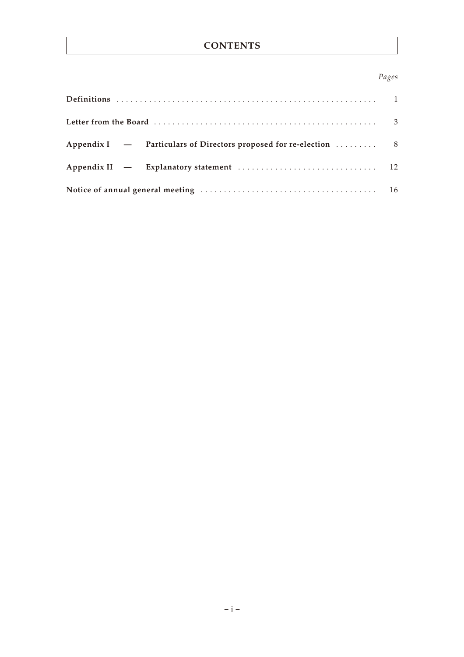## **CONTENTS**

## *Pages*

| Appendix I – Particulars of Directors proposed for re-election  8 |  |
|-------------------------------------------------------------------|--|
|                                                                   |  |
|                                                                   |  |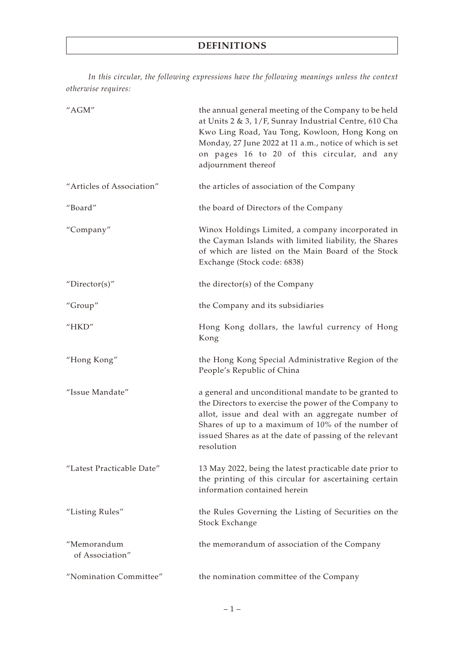*In this circular, the following expressions have the following meanings unless the context otherwise requires:*

| "AGM"                          | the annual general meeting of the Company to be held<br>at Units 2 & 3, 1/F, Sunray Industrial Centre, 610 Cha<br>Kwo Ling Road, Yau Tong, Kowloon, Hong Kong on<br>Monday, 27 June 2022 at 11 a.m., notice of which is set<br>on pages 16 to 20 of this circular, and any<br>adjournment thereof |
|--------------------------------|---------------------------------------------------------------------------------------------------------------------------------------------------------------------------------------------------------------------------------------------------------------------------------------------------|
| "Articles of Association"      | the articles of association of the Company                                                                                                                                                                                                                                                        |
| "Board"                        | the board of Directors of the Company                                                                                                                                                                                                                                                             |
| "Company"                      | Winox Holdings Limited, a company incorporated in<br>the Cayman Islands with limited liability, the Shares<br>of which are listed on the Main Board of the Stock<br>Exchange (Stock code: 6838)                                                                                                   |
| " $Directory$                  | the director(s) of the Company                                                                                                                                                                                                                                                                    |
| "Group"                        | the Company and its subsidiaries                                                                                                                                                                                                                                                                  |
| "HKD"                          | Hong Kong dollars, the lawful currency of Hong<br>Kong                                                                                                                                                                                                                                            |
| "Hong Kong"                    | the Hong Kong Special Administrative Region of the<br>People's Republic of China                                                                                                                                                                                                                  |
| "Issue Mandate"                | a general and unconditional mandate to be granted to<br>the Directors to exercise the power of the Company to<br>allot, issue and deal with an aggregate number of<br>Shares of up to a maximum of 10% of the number of<br>issued Shares as at the date of passing of the relevant<br>resolution  |
| "Latest Practicable Date"      | 13 May 2022, being the latest practicable date prior to<br>the printing of this circular for ascertaining certain<br>information contained herein                                                                                                                                                 |
| "Listing Rules"                | the Rules Governing the Listing of Securities on the<br>Stock Exchange                                                                                                                                                                                                                            |
| "Memorandum<br>of Association" | the memorandum of association of the Company                                                                                                                                                                                                                                                      |
| "Nomination Committee"         | the nomination committee of the Company                                                                                                                                                                                                                                                           |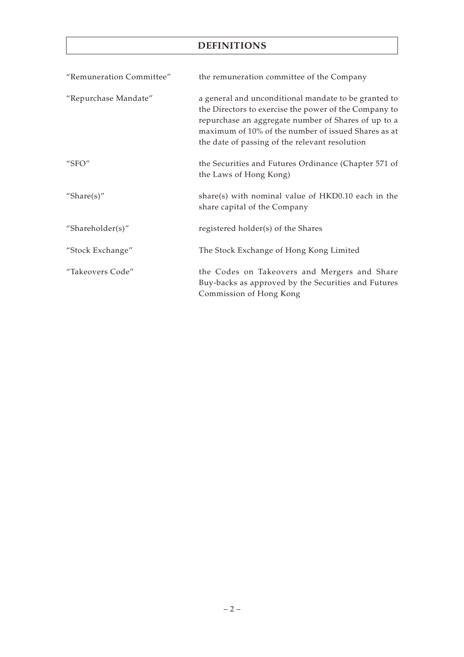## **DEFINITIONS**

| "Remuneration Committee" | the remuneration committee of the Company                                                                                                                                                                                                                                     |
|--------------------------|-------------------------------------------------------------------------------------------------------------------------------------------------------------------------------------------------------------------------------------------------------------------------------|
| "Repurchase Mandate"     | a general and unconditional mandate to be granted to<br>the Directors to exercise the power of the Company to<br>repurchase an aggregate number of Shares of up to a<br>maximum of 10% of the number of issued Shares as at<br>the date of passing of the relevant resolution |
| " $SFO"$                 | the Securities and Futures Ordinance (Chapter 571 of<br>the Laws of Hong Kong)                                                                                                                                                                                                |
| "Share $(s)$ "           | share(s) with nominal value of $HKD0.10$ each in the<br>share capital of the Company                                                                                                                                                                                          |
| "Shareholder(s)"         | registered holder(s) of the Shares                                                                                                                                                                                                                                            |
| "Stock Exchange"         | The Stock Exchange of Hong Kong Limited                                                                                                                                                                                                                                       |
| "Takeovers Code"         | the Codes on Takeovers and Mergers and Share<br>Buy-backs as approved by the Securities and Futures<br>Commission of Hong Kong                                                                                                                                                |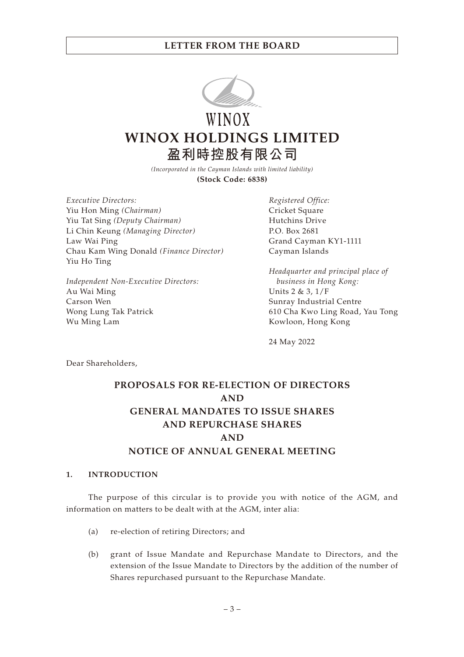

WINOX **WINOX HOLDINGS LIMITED 盈利時控股有限公司**

> *(Incorporated in the Cayman Islands with limited liability)* **(Stock Code: 6838)**

*Executive Directors:* Yiu Hon Ming *(Chairman)* Yiu Tat Sing *(Deputy Chairman)* Li Chin Keung *(Managing Director)* Law Wai Ping Chau Kam Wing Donald *(Finance Director)* Yiu Ho Ting

*Independent Non-Executive Directors:* Au Wai Ming Carson Wen Wong Lung Tak Patrick Wu Ming Lam

*Registered Office:* Cricket Square Hutchins Drive P.O. Box 2681 Grand Cayman KY1-1111 Cayman Islands

*Headquarter and principal place of business in Hong Kong:* Units 2 & 3, 1/F Sunray Industrial Centre 610 Cha Kwo Ling Road, Yau Tong Kowloon, Hong Kong

24 May 2022

Dear Shareholders,

## **PROPOSALS FOR RE-ELECTION OF DIRECTORS AND GENERAL MANDATES TO ISSUE SHARES AND REPURCHASE SHARES AND NOTICE OF ANNUAL GENERAL MEETING**

### **1. INTRODUCTION**

The purpose of this circular is to provide you with notice of the AGM, and information on matters to be dealt with at the AGM, inter alia:

- (a) re-election of retiring Directors; and
- (b) grant of Issue Mandate and Repurchase Mandate to Directors, and the extension of the Issue Mandate to Directors by the addition of the number of Shares repurchased pursuant to the Repurchase Mandate.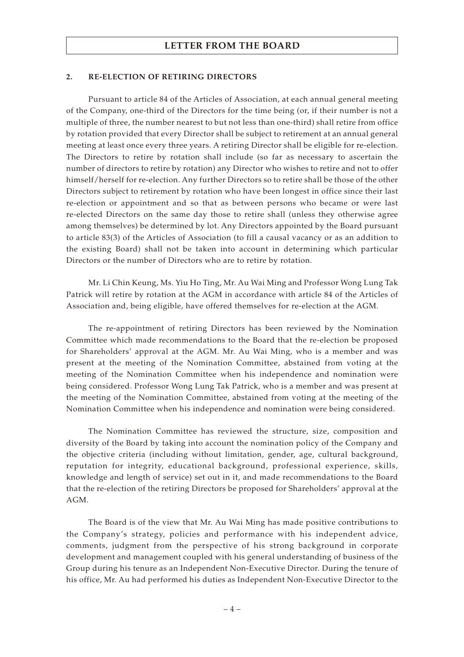#### **2. RE-ELECTION OF RETIRING DIRECTORS**

Pursuant to article 84 of the Articles of Association, at each annual general meeting of the Company, one-third of the Directors for the time being (or, if their number is not a multiple of three, the number nearest to but not less than one-third) shall retire from office by rotation provided that every Director shall be subject to retirement at an annual general meeting at least once every three years. A retiring Director shall be eligible for re-election. The Directors to retire by rotation shall include (so far as necessary to ascertain the number of directors to retire by rotation) any Director who wishes to retire and not to offer himself/herself for re-election. Any further Directors so to retire shall be those of the other Directors subject to retirement by rotation who have been longest in office since their last re-election or appointment and so that as between persons who became or were last re-elected Directors on the same day those to retire shall (unless they otherwise agree among themselves) be determined by lot. Any Directors appointed by the Board pursuant to article 83(3) of the Articles of Association (to fill a causal vacancy or as an addition to the existing Board) shall not be taken into account in determining which particular Directors or the number of Directors who are to retire by rotation.

Mr. Li Chin Keung, Ms. Yiu Ho Ting, Mr. Au Wai Ming and Professor Wong Lung Tak Patrick will retire by rotation at the AGM in accordance with article 84 of the Articles of Association and, being eligible, have offered themselves for re-election at the AGM.

The re-appointment of retiring Directors has been reviewed by the Nomination Committee which made recommendations to the Board that the re-election be proposed for Shareholders' approval at the AGM. Mr. Au Wai Ming, who is a member and was present at the meeting of the Nomination Committee, abstained from voting at the meeting of the Nomination Committee when his independence and nomination were being considered. Professor Wong Lung Tak Patrick, who is a member and was present at the meeting of the Nomination Committee, abstained from voting at the meeting of the Nomination Committee when his independence and nomination were being considered.

The Nomination Committee has reviewed the structure, size, composition and diversity of the Board by taking into account the nomination policy of the Company and the objective criteria (including without limitation, gender, age, cultural background, reputation for integrity, educational background, professional experience, skills, knowledge and length of service) set out in it, and made recommendations to the Board that the re-election of the retiring Directors be proposed for Shareholders' approval at the AGM.

The Board is of the view that Mr. Au Wai Ming has made positive contributions to the Company's strategy, policies and performance with his independent advice, comments, judgment from the perspective of his strong background in corporate development and management coupled with his general understanding of business of the Group during his tenure as an Independent Non-Executive Director. During the tenure of his office, Mr. Au had performed his duties as Independent Non-Executive Director to the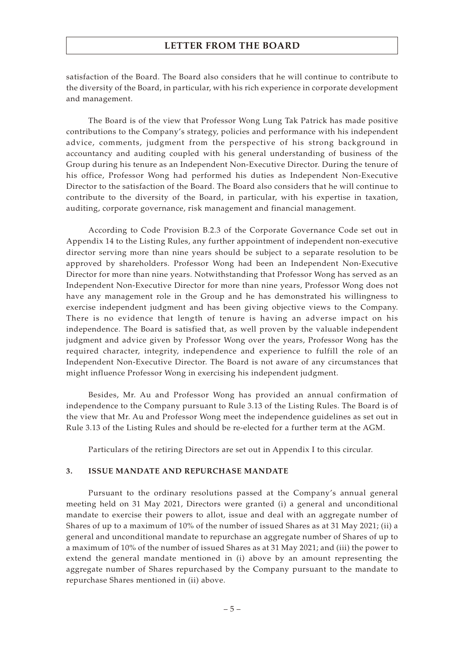satisfaction of the Board. The Board also considers that he will continue to contribute to the diversity of the Board, in particular, with his rich experience in corporate development and management.

The Board is of the view that Professor Wong Lung Tak Patrick has made positive contributions to the Company's strategy, policies and performance with his independent advice, comments, judgment from the perspective of his strong background in accountancy and auditing coupled with his general understanding of business of the Group during his tenure as an Independent Non-Executive Director. During the tenure of his office, Professor Wong had performed his duties as Independent Non-Executive Director to the satisfaction of the Board. The Board also considers that he will continue to contribute to the diversity of the Board, in particular, with his expertise in taxation, auditing, corporate governance, risk management and financial management.

According to Code Provision B.2.3 of the Corporate Governance Code set out in Appendix 14 to the Listing Rules, any further appointment of independent non-executive director serving more than nine years should be subject to a separate resolution to be approved by shareholders. Professor Wong had been an Independent Non-Executive Director for more than nine years. Notwithstanding that Professor Wong has served as an Independent Non-Executive Director for more than nine years, Professor Wong does not have any management role in the Group and he has demonstrated his willingness to exercise independent judgment and has been giving objective views to the Company. There is no evidence that length of tenure is having an adverse impact on his independence. The Board is satisfied that, as well proven by the valuable independent judgment and advice given by Professor Wong over the years, Professor Wong has the required character, integrity, independence and experience to fulfill the role of an Independent Non-Executive Director. The Board is not aware of any circumstances that might influence Professor Wong in exercising his independent judgment.

Besides, Mr. Au and Professor Wong has provided an annual confirmation of independence to the Company pursuant to Rule 3.13 of the Listing Rules. The Board is of the view that Mr. Au and Professor Wong meet the independence guidelines as set out in Rule 3.13 of the Listing Rules and should be re-elected for a further term at the AGM.

Particulars of the retiring Directors are set out in Appendix I to this circular.

#### **3. ISSUE MANDATE AND REPURCHASE MANDATE**

Pursuant to the ordinary resolutions passed at the Company's annual general meeting held on 31 May 2021, Directors were granted (i) a general and unconditional mandate to exercise their powers to allot, issue and deal with an aggregate number of Shares of up to a maximum of 10% of the number of issued Shares as at 31 May 2021; (ii) a general and unconditional mandate to repurchase an aggregate number of Shares of up to a maximum of 10% of the number of issued Shares as at 31 May 2021; and (iii) the power to extend the general mandate mentioned in (i) above by an amount representing the aggregate number of Shares repurchased by the Company pursuant to the mandate to repurchase Shares mentioned in (ii) above.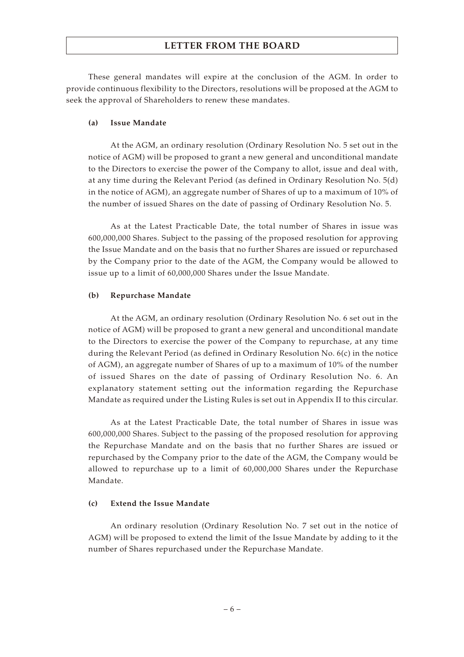These general mandates will expire at the conclusion of the AGM. In order to provide continuous flexibility to the Directors, resolutions will be proposed at the AGM to seek the approval of Shareholders to renew these mandates.

#### **(a) Issue Mandate**

At the AGM, an ordinary resolution (Ordinary Resolution No. 5 set out in the notice of AGM) will be proposed to grant a new general and unconditional mandate to the Directors to exercise the power of the Company to allot, issue and deal with, at any time during the Relevant Period (as defined in Ordinary Resolution No. 5(d) in the notice of AGM), an aggregate number of Shares of up to a maximum of 10% of the number of issued Shares on the date of passing of Ordinary Resolution No. 5.

As at the Latest Practicable Date, the total number of Shares in issue was 600,000,000 Shares. Subject to the passing of the proposed resolution for approving the Issue Mandate and on the basis that no further Shares are issued or repurchased by the Company prior to the date of the AGM, the Company would be allowed to issue up to a limit of 60,000,000 Shares under the Issue Mandate.

#### **(b) Repurchase Mandate**

At the AGM, an ordinary resolution (Ordinary Resolution No. 6 set out in the notice of AGM) will be proposed to grant a new general and unconditional mandate to the Directors to exercise the power of the Company to repurchase, at any time during the Relevant Period (as defined in Ordinary Resolution No. 6(c) in the notice of AGM), an aggregate number of Shares of up to a maximum of 10% of the number of issued Shares on the date of passing of Ordinary Resolution No. 6. An explanatory statement setting out the information regarding the Repurchase Mandate as required under the Listing Rules is set out in Appendix II to this circular.

As at the Latest Practicable Date, the total number of Shares in issue was 600,000,000 Shares. Subject to the passing of the proposed resolution for approving the Repurchase Mandate and on the basis that no further Shares are issued or repurchased by the Company prior to the date of the AGM, the Company would be allowed to repurchase up to a limit of 60,000,000 Shares under the Repurchase Mandate.

#### **(c) Extend the Issue Mandate**

An ordinary resolution (Ordinary Resolution No. 7 set out in the notice of AGM) will be proposed to extend the limit of the Issue Mandate by adding to it the number of Shares repurchased under the Repurchase Mandate.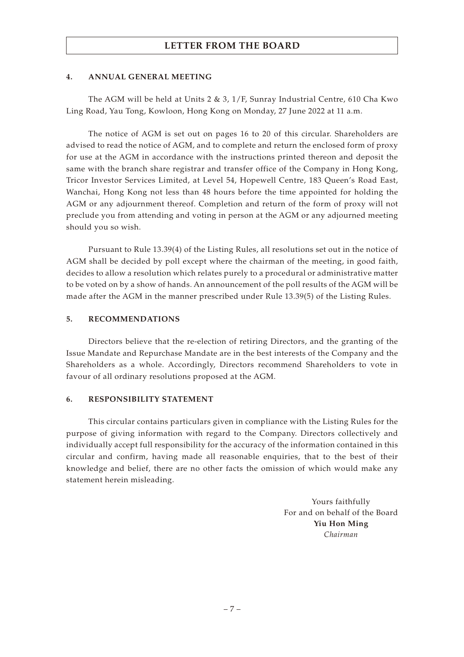#### **4. ANNUAL GENERAL MEETING**

The AGM will be held at Units 2 & 3, 1/F, Sunray Industrial Centre, 610 Cha Kwo Ling Road, Yau Tong, Kowloon, Hong Kong on Monday, 27 June 2022 at 11 a.m.

The notice of AGM is set out on pages 16 to 20 of this circular. Shareholders are advised to read the notice of AGM, and to complete and return the enclosed form of proxy for use at the AGM in accordance with the instructions printed thereon and deposit the same with the branch share registrar and transfer office of the Company in Hong Kong, Tricor Investor Services Limited, at Level 54, Hopewell Centre, 183 Queen's Road East, Wanchai, Hong Kong not less than 48 hours before the time appointed for holding the AGM or any adjournment thereof. Completion and return of the form of proxy will not preclude you from attending and voting in person at the AGM or any adjourned meeting should you so wish.

Pursuant to Rule 13.39(4) of the Listing Rules, all resolutions set out in the notice of AGM shall be decided by poll except where the chairman of the meeting, in good faith, decides to allow a resolution which relates purely to a procedural or administrative matter to be voted on by a show of hands. An announcement of the poll results of the AGM will be made after the AGM in the manner prescribed under Rule 13.39(5) of the Listing Rules.

### **5. RECOMMENDATIONS**

Directors believe that the re-election of retiring Directors, and the granting of the Issue Mandate and Repurchase Mandate are in the best interests of the Company and the Shareholders as a whole. Accordingly, Directors recommend Shareholders to vote in favour of all ordinary resolutions proposed at the AGM.

#### **6. RESPONSIBILITY STATEMENT**

This circular contains particulars given in compliance with the Listing Rules for the purpose of giving information with regard to the Company. Directors collectively and individually accept full responsibility for the accuracy of the information contained in this circular and confirm, having made all reasonable enquiries, that to the best of their knowledge and belief, there are no other facts the omission of which would make any statement herein misleading.

> Yours faithfully For and on behalf of the Board **Yiu Hon Ming** *Chairman*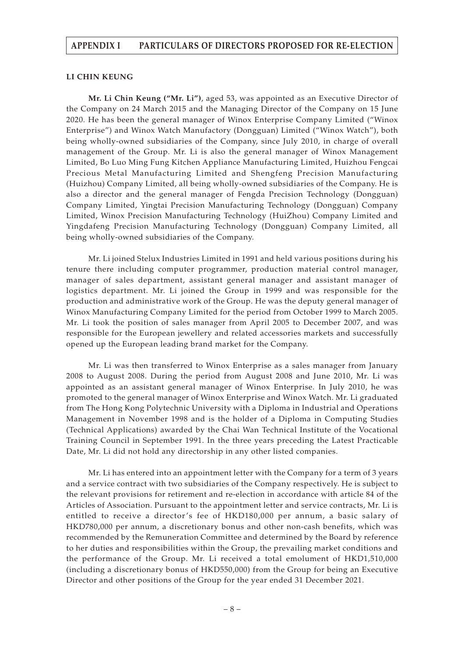#### **LI CHIN KEUNG**

**Mr. Li Chin Keung ("Mr. Li")**, aged 53, was appointed as an Executive Director of the Company on 24 March 2015 and the Managing Director of the Company on 15 June 2020. He has been the general manager of Winox Enterprise Company Limited ("Winox Enterprise") and Winox Watch Manufactory (Dongguan) Limited ("Winox Watch"), both being wholly-owned subsidiaries of the Company, since July 2010, in charge of overall management of the Group. Mr. Li is also the general manager of Winox Management Limited, Bo Luo Ming Fung Kitchen Appliance Manufacturing Limited, Huizhou Fengcai Precious Metal Manufacturing Limited and Shengfeng Precision Manufacturing (Huizhou) Company Limited, all being wholly-owned subsidiaries of the Company. He is also a director and the general manager of Fengda Precision Technology (Dongguan) Company Limited, Yingtai Precision Manufacturing Technology (Dongguan) Company Limited, Winox Precision Manufacturing Technology (HuiZhou) Company Limited and Yingdafeng Precision Manufacturing Technology (Dongguan) Company Limited, all being wholly-owned subsidiaries of the Company.

Mr. Li joined Stelux Industries Limited in 1991 and held various positions during his tenure there including computer programmer, production material control manager, manager of sales department, assistant general manager and assistant manager of logistics department. Mr. Li joined the Group in 1999 and was responsible for the production and administrative work of the Group. He was the deputy general manager of Winox Manufacturing Company Limited for the period from October 1999 to March 2005. Mr. Li took the position of sales manager from April 2005 to December 2007, and was responsible for the European jewellery and related accessories markets and successfully opened up the European leading brand market for the Company.

Mr. Li was then transferred to Winox Enterprise as a sales manager from January 2008 to August 2008. During the period from August 2008 and June 2010, Mr. Li was appointed as an assistant general manager of Winox Enterprise. In July 2010, he was promoted to the general manager of Winox Enterprise and Winox Watch. Mr. Li graduated from The Hong Kong Polytechnic University with a Diploma in Industrial and Operations Management in November 1998 and is the holder of a Diploma in Computing Studies (Technical Applications) awarded by the Chai Wan Technical Institute of the Vocational Training Council in September 1991. In the three years preceding the Latest Practicable Date, Mr. Li did not hold any directorship in any other listed companies.

Mr. Li has entered into an appointment letter with the Company for a term of 3 years and a service contract with two subsidiaries of the Company respectively. He is subject to the relevant provisions for retirement and re-election in accordance with article 84 of the Articles of Association. Pursuant to the appointment letter and service contracts, Mr. Li is entitled to receive a director's fee of HKD180,000 per annum, a basic salary of HKD780,000 per annum, a discretionary bonus and other non-cash benefits, which was recommended by the Remuneration Committee and determined by the Board by reference to her duties and responsibilities within the Group, the prevailing market conditions and the performance of the Group. Mr. Li received a total emolument of HKD1,510,000 (including a discretionary bonus of HKD550,000) from the Group for being an Executive Director and other positions of the Group for the year ended 31 December 2021.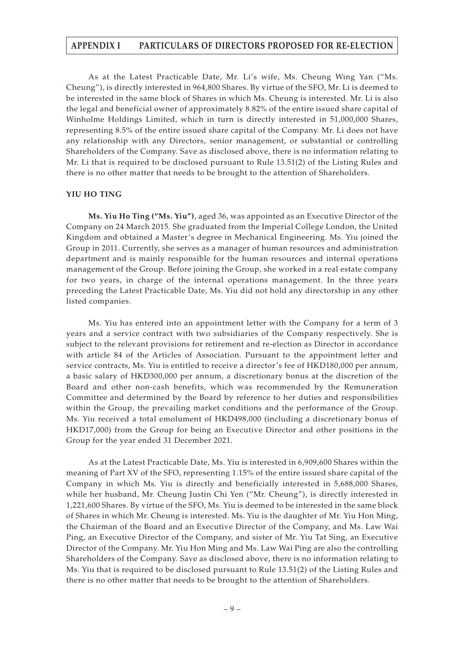As at the Latest Practicable Date, Mr. Li's wife, Ms. Cheung Wing Yan ("Ms. Cheung"), is directly interested in 964,800 Shares. By virtue of the SFO, Mr. Li is deemed to be interested in the same block of Shares in which Ms. Cheung is interested. Mr. Li is also the legal and beneficial owner of approximately 8.82% of the entire issued share capital of Winholme Holdings Limited, which in turn is directly interested in 51,000,000 Shares, representing 8.5% of the entire issued share capital of the Company. Mr. Li does not have any relationship with any Directors, senior management, or substantial or controlling Shareholders of the Company. Save as disclosed above, there is no information relating to Mr. Li that is required to be disclosed pursuant to Rule 13.51(2) of the Listing Rules and there is no other matter that needs to be brought to the attention of Shareholders.

#### **YIU HO TING**

**Ms. Yiu Ho Ting ("Ms. Yiu")**, aged 36, was appointed as an Executive Director of the Company on 24 March 2015. She graduated from the Imperial College London, the United Kingdom and obtained a Master's degree in Mechanical Engineering. Ms. Yiu joined the Group in 2011. Currently, she serves as a manager of human resources and administration department and is mainly responsible for the human resources and internal operations management of the Group. Before joining the Group, she worked in a real estate company for two years, in charge of the internal operations management. In the three years preceding the Latest Practicable Date, Ms. Yiu did not hold any directorship in any other listed companies.

Ms. Yiu has entered into an appointment letter with the Company for a term of 3 years and a service contract with two subsidiaries of the Company respectively. She is subject to the relevant provisions for retirement and re-election as Director in accordance with article 84 of the Articles of Association. Pursuant to the appointment letter and service contracts, Ms. Yiu is entitled to receive a director's fee of HKD180,000 per annum, a basic salary of HKD300,000 per annum, a discretionary bonus at the discretion of the Board and other non-cash benefits, which was recommended by the Remuneration Committee and determined by the Board by reference to her duties and responsibilities within the Group, the prevailing market conditions and the performance of the Group. Ms. Yiu received a total emolument of HKD498,000 (including a discretionary bonus of HKD17,000) from the Group for being an Executive Director and other positions in the Group for the year ended 31 December 2021.

As at the Latest Practicable Date, Ms. Yiu is interested in 6,909,600 Shares within the meaning of Part XV of the SFO, representing 1.15% of the entire issued share capital of the Company in which Ms. Yiu is directly and beneficially interested in 5,688,000 Shares, while her husband, Mr. Cheung Justin Chi Yen ("Mr. Cheung"), is directly interested in 1,221,600 Shares. By virtue of the SFO, Ms. Yiu is deemed to be interested in the same block of Shares in which Mr. Cheung is interested. Ms. Yiu is the daughter of Mr. Yiu Hon Ming, the Chairman of the Board and an Executive Director of the Company, and Ms. Law Wai Ping, an Executive Director of the Company, and sister of Mr. Yiu Tat Sing, an Executive Director of the Company. Mr. Yiu Hon Ming and Ms. Law Wai Ping are also the controlling Shareholders of the Company. Save as disclosed above, there is no information relating to Ms. Yiu that is required to be disclosed pursuant to Rule 13.51(2) of the Listing Rules and there is no other matter that needs to be brought to the attention of Shareholders.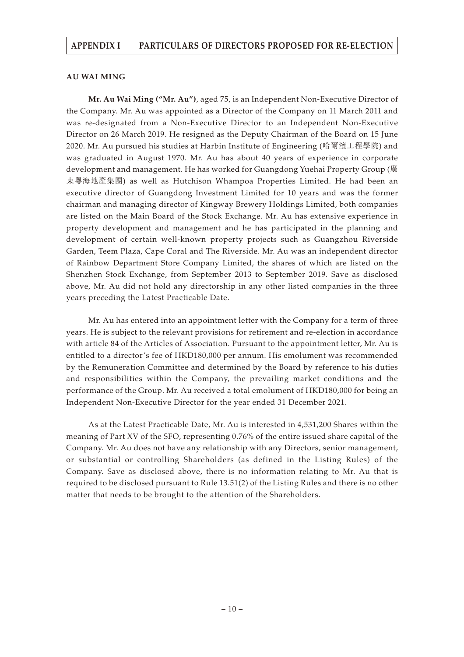#### **AU WAI MING**

**Mr. Au Wai Ming ("Mr. Au")**, aged 75, is an Independent Non-Executive Director of the Company. Mr. Au was appointed as a Director of the Company on 11 March 2011 and was re-designated from a Non-Executive Director to an Independent Non-Executive Director on 26 March 2019. He resigned as the Deputy Chairman of the Board on 15 June 2020. Mr. Au pursued his studies at Harbin Institute of Engineering (哈爾濱工程學院) and was graduated in August 1970. Mr. Au has about 40 years of experience in corporate development and management. He has worked for Guangdong Yuehai Property Group (廣 東粵海地產集團) as well as Hutchison Whampoa Properties Limited. He had been an executive director of Guangdong Investment Limited for 10 years and was the former chairman and managing director of Kingway Brewery Holdings Limited, both companies are listed on the Main Board of the Stock Exchange. Mr. Au has extensive experience in property development and management and he has participated in the planning and development of certain well-known property projects such as Guangzhou Riverside Garden, Teem Plaza, Cape Coral and The Riverside. Mr. Au was an independent director of Rainbow Department Store Company Limited, the shares of which are listed on the Shenzhen Stock Exchange, from September 2013 to September 2019. Save as disclosed above, Mr. Au did not hold any directorship in any other listed companies in the three years preceding the Latest Practicable Date.

Mr. Au has entered into an appointment letter with the Company for a term of three years. He is subject to the relevant provisions for retirement and re-election in accordance with article 84 of the Articles of Association. Pursuant to the appointment letter, Mr. Au is entitled to a director's fee of HKD180,000 per annum. His emolument was recommended by the Remuneration Committee and determined by the Board by reference to his duties and responsibilities within the Company, the prevailing market conditions and the performance of the Group. Mr. Au received a total emolument of HKD180,000 for being an Independent Non-Executive Director for the year ended 31 December 2021.

As at the Latest Practicable Date, Mr. Au is interested in 4,531,200 Shares within the meaning of Part XV of the SFO, representing 0.76% of the entire issued share capital of the Company. Mr. Au does not have any relationship with any Directors, senior management, or substantial or controlling Shareholders (as defined in the Listing Rules) of the Company. Save as disclosed above, there is no information relating to Mr. Au that is required to be disclosed pursuant to Rule 13.51(2) of the Listing Rules and there is no other matter that needs to be brought to the attention of the Shareholders.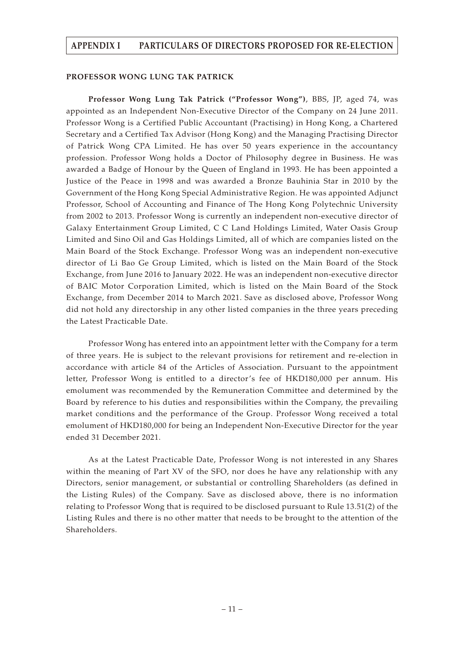#### **PROFESSOR WONG LUNG TAK PATRICK**

**Professor Wong Lung Tak Patrick ("Professor Wong")**, BBS, JP, aged 74, was appointed as an Independent Non-Executive Director of the Company on 24 June 2011. Professor Wong is a Certified Public Accountant (Practising) in Hong Kong, a Chartered Secretary and a Certified Tax Advisor (Hong Kong) and the Managing Practising Director of Patrick Wong CPA Limited. He has over 50 years experience in the accountancy profession. Professor Wong holds a Doctor of Philosophy degree in Business. He was awarded a Badge of Honour by the Queen of England in 1993. He has been appointed a Justice of the Peace in 1998 and was awarded a Bronze Bauhinia Star in 2010 by the Government of the Hong Kong Special Administrative Region. He was appointed Adjunct Professor, School of Accounting and Finance of The Hong Kong Polytechnic University from 2002 to 2013. Professor Wong is currently an independent non-executive director of Galaxy Entertainment Group Limited, C C Land Holdings Limited, Water Oasis Group Limited and Sino Oil and Gas Holdings Limited, all of which are companies listed on the Main Board of the Stock Exchange. Professor Wong was an independent non-executive director of Li Bao Ge Group Limited, which is listed on the Main Board of the Stock Exchange, from June 2016 to January 2022. He was an independent non-executive director of BAIC Motor Corporation Limited, which is listed on the Main Board of the Stock Exchange, from December 2014 to March 2021. Save as disclosed above, Professor Wong did not hold any directorship in any other listed companies in the three years preceding the Latest Practicable Date.

Professor Wong has entered into an appointment letter with the Company for a term of three years. He is subject to the relevant provisions for retirement and re-election in accordance with article 84 of the Articles of Association. Pursuant to the appointment letter, Professor Wong is entitled to a director's fee of HKD180,000 per annum. His emolument was recommended by the Remuneration Committee and determined by the Board by reference to his duties and responsibilities within the Company, the prevailing market conditions and the performance of the Group. Professor Wong received a total emolument of HKD180,000 for being an Independent Non-Executive Director for the year ended 31 December 2021.

As at the Latest Practicable Date, Professor Wong is not interested in any Shares within the meaning of Part XV of the SFO, nor does he have any relationship with any Directors, senior management, or substantial or controlling Shareholders (as defined in the Listing Rules) of the Company. Save as disclosed above, there is no information relating to Professor Wong that is required to be disclosed pursuant to Rule 13.51(2) of the Listing Rules and there is no other matter that needs to be brought to the attention of the Shareholders.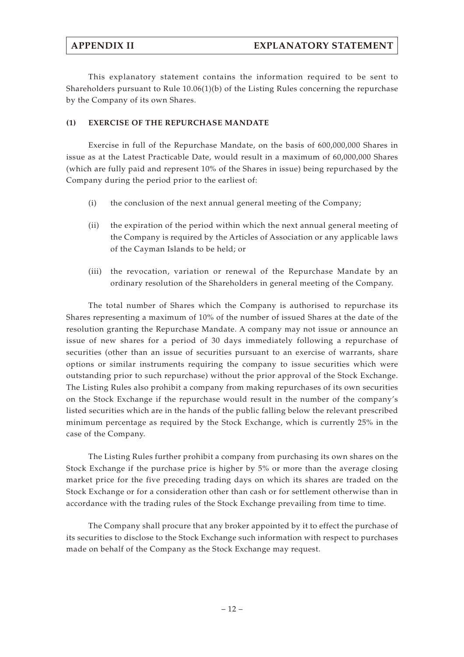This explanatory statement contains the information required to be sent to Shareholders pursuant to Rule  $10.06(1)(b)$  of the Listing Rules concerning the repurchase by the Company of its own Shares.

### **(1) EXERCISE OF THE REPURCHASE MANDATE**

Exercise in full of the Repurchase Mandate, on the basis of 600,000,000 Shares in issue as at the Latest Practicable Date, would result in a maximum of 60,000,000 Shares (which are fully paid and represent 10% of the Shares in issue) being repurchased by the Company during the period prior to the earliest of:

- (i) the conclusion of the next annual general meeting of the Company;
- (ii) the expiration of the period within which the next annual general meeting of the Company is required by the Articles of Association or any applicable laws of the Cayman Islands to be held; or
- (iii) the revocation, variation or renewal of the Repurchase Mandate by an ordinary resolution of the Shareholders in general meeting of the Company.

The total number of Shares which the Company is authorised to repurchase its Shares representing a maximum of 10% of the number of issued Shares at the date of the resolution granting the Repurchase Mandate. A company may not issue or announce an issue of new shares for a period of 30 days immediately following a repurchase of securities (other than an issue of securities pursuant to an exercise of warrants, share options or similar instruments requiring the company to issue securities which were outstanding prior to such repurchase) without the prior approval of the Stock Exchange. The Listing Rules also prohibit a company from making repurchases of its own securities on the Stock Exchange if the repurchase would result in the number of the company's listed securities which are in the hands of the public falling below the relevant prescribed minimum percentage as required by the Stock Exchange, which is currently 25% in the case of the Company.

The Listing Rules further prohibit a company from purchasing its own shares on the Stock Exchange if the purchase price is higher by 5% or more than the average closing market price for the five preceding trading days on which its shares are traded on the Stock Exchange or for a consideration other than cash or for settlement otherwise than in accordance with the trading rules of the Stock Exchange prevailing from time to time.

The Company shall procure that any broker appointed by it to effect the purchase of its securities to disclose to the Stock Exchange such information with respect to purchases made on behalf of the Company as the Stock Exchange may request.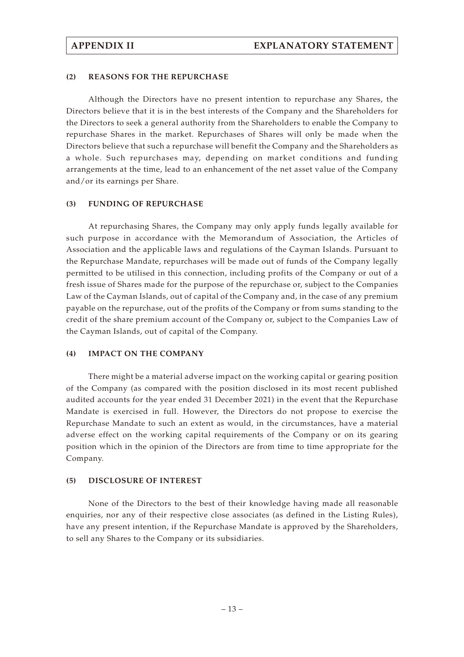### **(2) REASONS FOR THE REPURCHASE**

Although the Directors have no present intention to repurchase any Shares, the Directors believe that it is in the best interests of the Company and the Shareholders for the Directors to seek a general authority from the Shareholders to enable the Company to repurchase Shares in the market. Repurchases of Shares will only be made when the Directors believe that such a repurchase will benefit the Company and the Shareholders as a whole. Such repurchases may, depending on market conditions and funding arrangements at the time, lead to an enhancement of the net asset value of the Company and/or its earnings per Share.

#### **(3) FUNDING OF REPURCHASE**

At repurchasing Shares, the Company may only apply funds legally available for such purpose in accordance with the Memorandum of Association, the Articles of Association and the applicable laws and regulations of the Cayman Islands. Pursuant to the Repurchase Mandate, repurchases will be made out of funds of the Company legally permitted to be utilised in this connection, including profits of the Company or out of a fresh issue of Shares made for the purpose of the repurchase or, subject to the Companies Law of the Cayman Islands, out of capital of the Company and, in the case of any premium payable on the repurchase, out of the profits of the Company or from sums standing to the credit of the share premium account of the Company or, subject to the Companies Law of the Cayman Islands, out of capital of the Company.

### **(4) IMPACT ON THE COMPANY**

There might be a material adverse impact on the working capital or gearing position of the Company (as compared with the position disclosed in its most recent published audited accounts for the year ended 31 December 2021) in the event that the Repurchase Mandate is exercised in full. However, the Directors do not propose to exercise the Repurchase Mandate to such an extent as would, in the circumstances, have a material adverse effect on the working capital requirements of the Company or on its gearing position which in the opinion of the Directors are from time to time appropriate for the Company.

#### **(5) DISCLOSURE OF INTEREST**

None of the Directors to the best of their knowledge having made all reasonable enquiries, nor any of their respective close associates (as defined in the Listing Rules), have any present intention, if the Repurchase Mandate is approved by the Shareholders, to sell any Shares to the Company or its subsidiaries.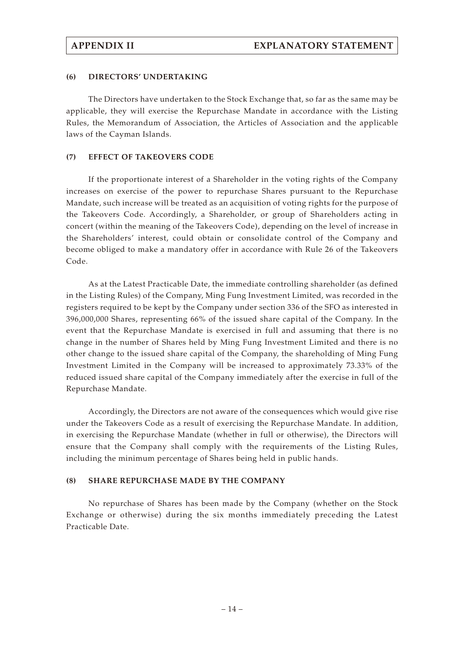#### **(6) DIRECTORS' UNDERTAKING**

The Directors have undertaken to the Stock Exchange that, so far as the same may be applicable, they will exercise the Repurchase Mandate in accordance with the Listing Rules, the Memorandum of Association, the Articles of Association and the applicable laws of the Cayman Islands.

#### **(7) EFFECT OF TAKEOVERS CODE**

If the proportionate interest of a Shareholder in the voting rights of the Company increases on exercise of the power to repurchase Shares pursuant to the Repurchase Mandate, such increase will be treated as an acquisition of voting rights for the purpose of the Takeovers Code. Accordingly, a Shareholder, or group of Shareholders acting in concert (within the meaning of the Takeovers Code), depending on the level of increase in the Shareholders' interest, could obtain or consolidate control of the Company and become obliged to make a mandatory offer in accordance with Rule 26 of the Takeovers Code.

As at the Latest Practicable Date, the immediate controlling shareholder (as defined in the Listing Rules) of the Company, Ming Fung Investment Limited, was recorded in the registers required to be kept by the Company under section 336 of the SFO as interested in 396,000,000 Shares, representing 66% of the issued share capital of the Company. In the event that the Repurchase Mandate is exercised in full and assuming that there is no change in the number of Shares held by Ming Fung Investment Limited and there is no other change to the issued share capital of the Company, the shareholding of Ming Fung Investment Limited in the Company will be increased to approximately 73.33% of the reduced issued share capital of the Company immediately after the exercise in full of the Repurchase Mandate.

Accordingly, the Directors are not aware of the consequences which would give rise under the Takeovers Code as a result of exercising the Repurchase Mandate. In addition, in exercising the Repurchase Mandate (whether in full or otherwise), the Directors will ensure that the Company shall comply with the requirements of the Listing Rules, including the minimum percentage of Shares being held in public hands.

#### **(8) SHARE REPURCHASE MADE BY THE COMPANY**

No repurchase of Shares has been made by the Company (whether on the Stock Exchange or otherwise) during the six months immediately preceding the Latest Practicable Date.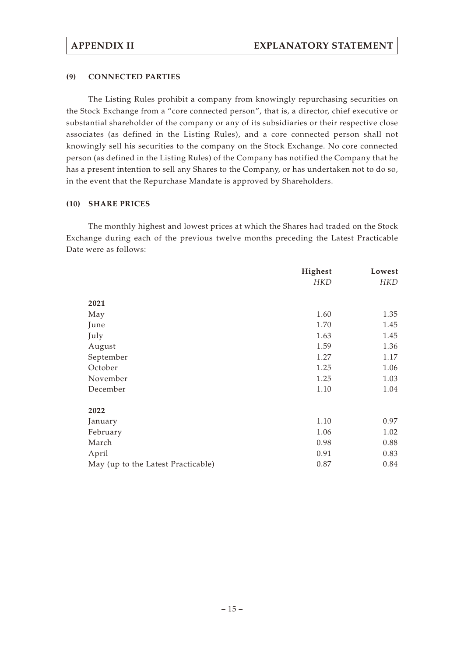### **(9) CONNECTED PARTIES**

The Listing Rules prohibit a company from knowingly repurchasing securities on the Stock Exchange from a "core connected person", that is, a director, chief executive or substantial shareholder of the company or any of its subsidiaries or their respective close associates (as defined in the Listing Rules), and a core connected person shall not knowingly sell his securities to the company on the Stock Exchange. No core connected person (as defined in the Listing Rules) of the Company has notified the Company that he has a present intention to sell any Shares to the Company, or has undertaken not to do so, in the event that the Repurchase Mandate is approved by Shareholders.

#### **(10) SHARE PRICES**

The monthly highest and lowest prices at which the Shares had traded on the Stock Exchange during each of the previous twelve months preceding the Latest Practicable Date were as follows:

|                                    | Highest    | Lowest     |
|------------------------------------|------------|------------|
|                                    | <b>HKD</b> | <b>HKD</b> |
| 2021                               |            |            |
| May                                | 1.60       | 1.35       |
| June                               | 1.70       | 1.45       |
| July                               | 1.63       | 1.45       |
| August                             | 1.59       | 1.36       |
| September                          | 1.27       | 1.17       |
| October                            | 1.25       | 1.06       |
| November                           | 1.25       | 1.03       |
| December                           | 1.10       | 1.04       |
| 2022                               |            |            |
| January                            | 1.10       | 0.97       |
| February                           | 1.06       | 1.02       |
| March                              | 0.98       | 0.88       |
| April                              | 0.91       | 0.83       |
| May (up to the Latest Practicable) | 0.87       | 0.84       |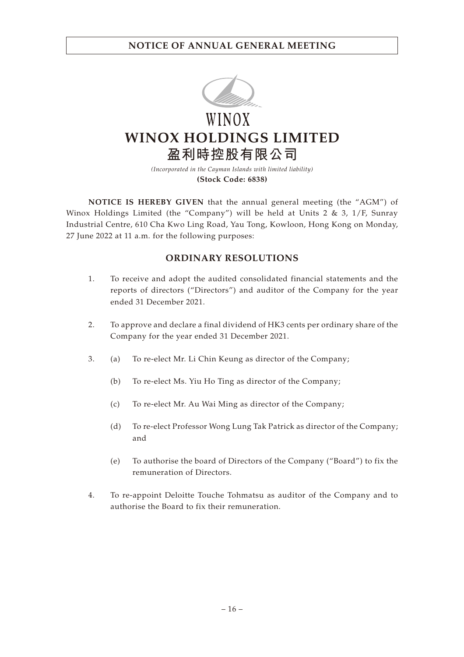

WINOX **WINOX HOLDINGS LIMITED 盈利時控股有限公司**

> *(Incorporated in the Cayman Islands with limited liability)* **(Stock Code: 6838)**

**NOTICE IS HEREBY GIVEN** that the annual general meeting (the "AGM") of Winox Holdings Limited (the "Company") will be held at Units 2 & 3,  $1/F$ , Sunray Industrial Centre, 610 Cha Kwo Ling Road, Yau Tong, Kowloon, Hong Kong on Monday, 27 June 2022 at 11 a.m. for the following purposes:

## **ORDINARY RESOLUTIONS**

- 1. To receive and adopt the audited consolidated financial statements and the reports of directors ("Directors") and auditor of the Company for the year ended 31 December 2021.
- 2. To approve and declare a final dividend of HK3 cents per ordinary share of the Company for the year ended 31 December 2021.
- 3. (a) To re-elect Mr. Li Chin Keung as director of the Company;
	- (b) To re-elect Ms. Yiu Ho Ting as director of the Company;
	- (c) To re-elect Mr. Au Wai Ming as director of the Company;
	- (d) To re-elect Professor Wong Lung Tak Patrick as director of the Company; and
	- (e) To authorise the board of Directors of the Company ("Board") to fix the remuneration of Directors.
- 4. To re-appoint Deloitte Touche Tohmatsu as auditor of the Company and to authorise the Board to fix their remuneration.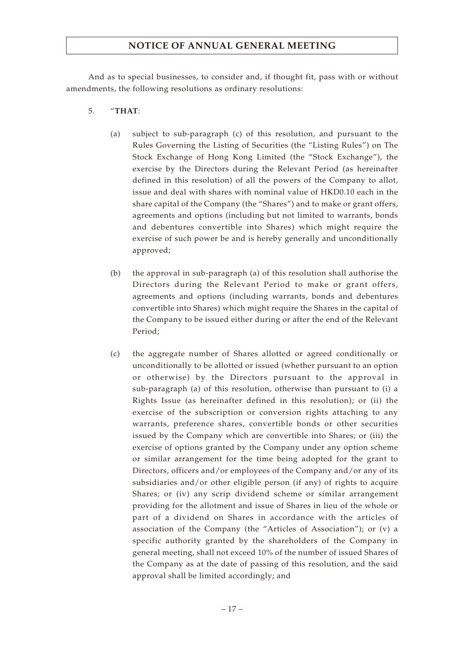And as to special businesses, to consider and, if thought fit, pass with or without amendments, the following resolutions as ordinary resolutions:

- 5. "**THAT**:
	- (a) subject to sub-paragraph (c) of this resolution, and pursuant to the Rules Governing the Listing of Securities (the "Listing Rules") on The Stock Exchange of Hong Kong Limited (the "Stock Exchange"), the exercise by the Directors during the Relevant Period (as hereinafter defined in this resolution) of all the powers of the Company to allot, issue and deal with shares with nominal value of HKD0.10 each in the share capital of the Company (the "Shares") and to make or grant offers, agreements and options (including but not limited to warrants, bonds and debentures convertible into Shares) which might require the exercise of such power be and is hereby generally and unconditionally approved;
	- (b) the approval in sub-paragraph (a) of this resolution shall authorise the Directors during the Relevant Period to make or grant offers, agreements and options (including warrants, bonds and debentures convertible into Shares) which might require the Shares in the capital of the Company to be issued either during or after the end of the Relevant Period;
	- (c) the aggregate number of Shares allotted or agreed conditionally or unconditionally to be allotted or issued (whether pursuant to an option or otherwise) by the Directors pursuant to the approval in sub-paragraph (a) of this resolution, otherwise than pursuant to (i) a Rights Issue (as hereinafter defined in this resolution); or (ii) the exercise of the subscription or conversion rights attaching to any warrants, preference shares, convertible bonds or other securities issued by the Company which are convertible into Shares; or (iii) the exercise of options granted by the Company under any option scheme or similar arrangement for the time being adopted for the grant to Directors, officers and/or employees of the Company and/or any of its subsidiaries and/or other eligible person (if any) of rights to acquire Shares; or (iv) any scrip dividend scheme or similar arrangement providing for the allotment and issue of Shares in lieu of the whole or part of a dividend on Shares in accordance with the articles of association of the Company (the "Articles of Association"); or (v) a specific authority granted by the shareholders of the Company in general meeting, shall not exceed 10% of the number of issued Shares of the Company as at the date of passing of this resolution, and the said approval shall be limited accordingly; and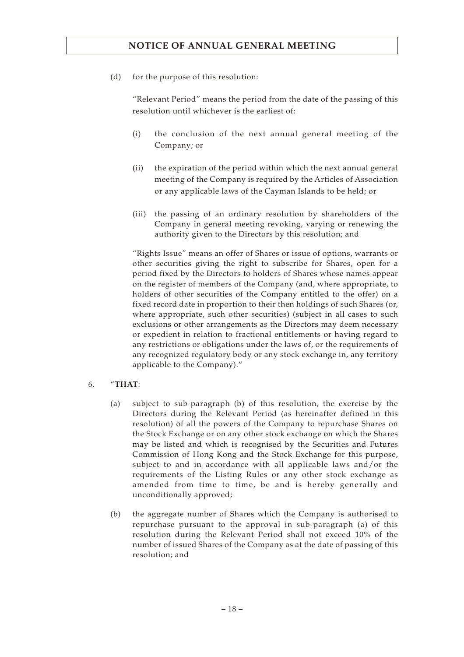(d) for the purpose of this resolution:

"Relevant Period" means the period from the date of the passing of this resolution until whichever is the earliest of:

- (i) the conclusion of the next annual general meeting of the Company; or
- (ii) the expiration of the period within which the next annual general meeting of the Company is required by the Articles of Association or any applicable laws of the Cayman Islands to be held; or
- (iii) the passing of an ordinary resolution by shareholders of the Company in general meeting revoking, varying or renewing the authority given to the Directors by this resolution; and

"Rights Issue" means an offer of Shares or issue of options, warrants or other securities giving the right to subscribe for Shares, open for a period fixed by the Directors to holders of Shares whose names appear on the register of members of the Company (and, where appropriate, to holders of other securities of the Company entitled to the offer) on a fixed record date in proportion to their then holdings of such Shares (or, where appropriate, such other securities) (subject in all cases to such exclusions or other arrangements as the Directors may deem necessary or expedient in relation to fractional entitlements or having regard to any restrictions or obligations under the laws of, or the requirements of any recognized regulatory body or any stock exchange in, any territory applicable to the Company)."

- 6. "**THAT**:
	- (a) subject to sub-paragraph (b) of this resolution, the exercise by the Directors during the Relevant Period (as hereinafter defined in this resolution) of all the powers of the Company to repurchase Shares on the Stock Exchange or on any other stock exchange on which the Shares may be listed and which is recognised by the Securities and Futures Commission of Hong Kong and the Stock Exchange for this purpose, subject to and in accordance with all applicable laws and/or the requirements of the Listing Rules or any other stock exchange as amended from time to time, be and is hereby generally and unconditionally approved;
	- (b) the aggregate number of Shares which the Company is authorised to repurchase pursuant to the approval in sub-paragraph (a) of this resolution during the Relevant Period shall not exceed 10% of the number of issued Shares of the Company as at the date of passing of this resolution; and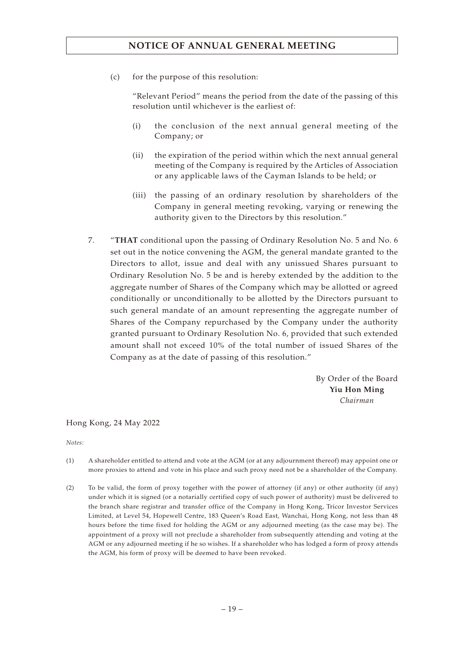(c) for the purpose of this resolution:

"Relevant Period" means the period from the date of the passing of this resolution until whichever is the earliest of:

- (i) the conclusion of the next annual general meeting of the Company; or
- (ii) the expiration of the period within which the next annual general meeting of the Company is required by the Articles of Association or any applicable laws of the Cayman Islands to be held; or
- (iii) the passing of an ordinary resolution by shareholders of the Company in general meeting revoking, varying or renewing the authority given to the Directors by this resolution."
- 7. "**THAT** conditional upon the passing of Ordinary Resolution No. 5 and No. 6 set out in the notice convening the AGM, the general mandate granted to the Directors to allot, issue and deal with any unissued Shares pursuant to Ordinary Resolution No. 5 be and is hereby extended by the addition to the aggregate number of Shares of the Company which may be allotted or agreed conditionally or unconditionally to be allotted by the Directors pursuant to such general mandate of an amount representing the aggregate number of Shares of the Company repurchased by the Company under the authority granted pursuant to Ordinary Resolution No. 6, provided that such extended amount shall not exceed 10% of the total number of issued Shares of the Company as at the date of passing of this resolution."

By Order of the Board **Yiu Hon Ming** *Chairman*

Hong Kong, 24 May 2022

*Notes:*

- (1) A shareholder entitled to attend and vote at the AGM (or at any adjournment thereof) may appoint one or more proxies to attend and vote in his place and such proxy need not be a shareholder of the Company.
- (2) To be valid, the form of proxy together with the power of attorney (if any) or other authority (if any) under which it is signed (or a notarially certified copy of such power of authority) must be delivered to the branch share registrar and transfer office of the Company in Hong Kong, Tricor Investor Services Limited, at Level 54, Hopewell Centre, 183 Queen's Road East, Wanchai, Hong Kong, not less than 48 hours before the time fixed for holding the AGM or any adjourned meeting (as the case may be). The appointment of a proxy will not preclude a shareholder from subsequently attending and voting at the AGM or any adjourned meeting if he so wishes. If a shareholder who has lodged a form of proxy attends the AGM, his form of proxy will be deemed to have been revoked.